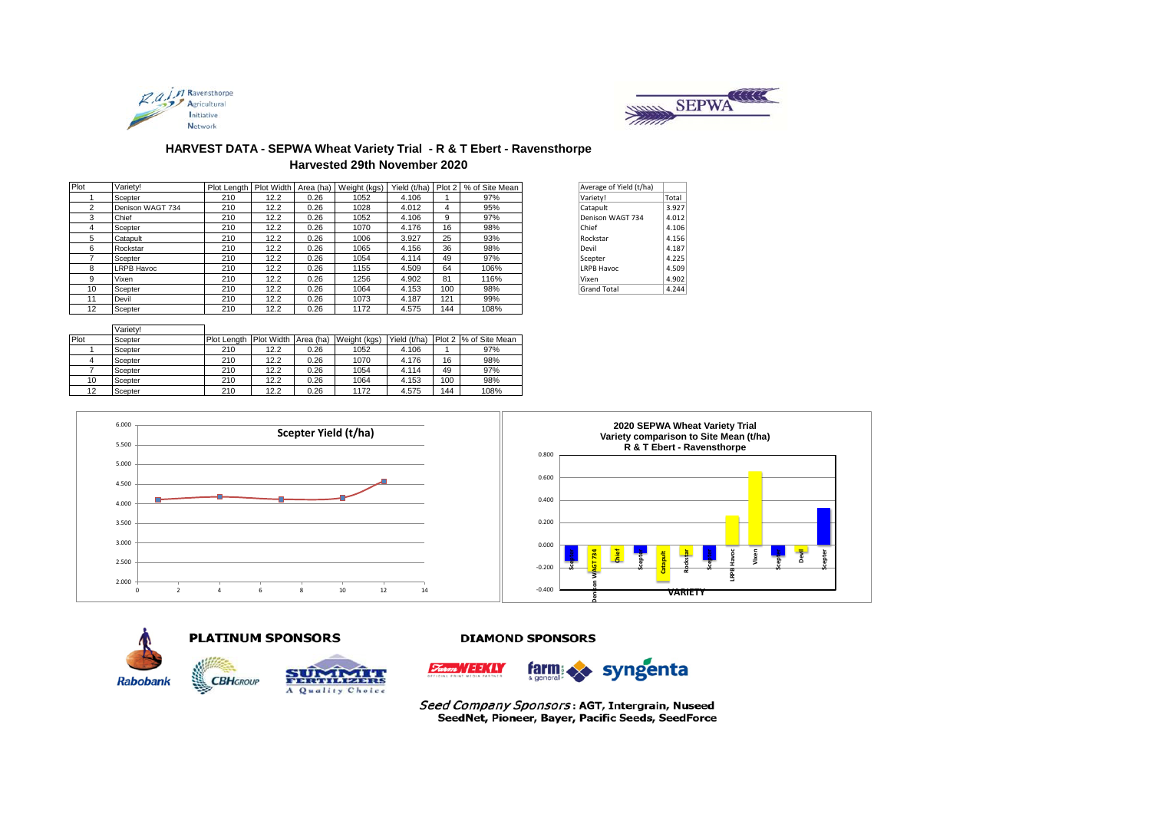



# **HARVEST DATA - SEPWA Wheat Variety Trial - R & T Ebert - Ravensthorpe Harvested 29th November 2020**

| Plot | Varietv!          | Plot Length   Plot Width   Area (ha) |      |      | Weight (kgs) | Yield (t/ha) |     | Plot 2 % of Site Mean | Average of Yield (t/ha) |       |
|------|-------------------|--------------------------------------|------|------|--------------|--------------|-----|-----------------------|-------------------------|-------|
|      | Scepter           | 210                                  | 12.2 | 0.26 | 1052         | 4.106        |     | 97%                   | Variety!                | Total |
| 2    | Denison WAGT 734  | 210                                  | 12.2 | 0.26 | 1028         | 4.012        |     | 95%                   | Catapult                | 3.927 |
| 3    | Chief             | 210                                  | 12.2 | 0.26 | 1052         | 4.106        | 9   | 97%                   | Denison WAGT 734        | 4.012 |
| 4    | Scepter           | 210                                  | 12.2 | 0.26 | 1070         | 4.176        | 16  | 98%                   | Chief                   | 4.106 |
| 5    | Catapult          | 210                                  | 12.2 | 0.26 | 1006         | 3.927        | 25  | 93%                   | Rockstar                | 4.156 |
| 6    | Rockstar          | 210                                  | 12.2 | 0.26 | 1065         | 4.156        | 36  | 98%                   | Devil                   | 4.187 |
|      | Scepter           | 210                                  | 12.2 | 0.26 | 1054         | 4.114        | 49  | 97%                   | Scepter                 | 4.225 |
| 8    | <b>LRPB Havoc</b> | 210                                  | 12.2 | 0.26 | 1155         | 4.509        | 64  | 106%                  | <b>LRPB Havoc</b>       | 4.509 |
| 9    | Vixen             | 210                                  | 12.2 | 0.26 | 1256         | 4.902        | 81  | 116%                  | Vixen                   | 4.902 |
| 10   | Scepter           | 210                                  | 12.2 | 0.26 | 1064         | 4.153        | 100 | 98%                   | <b>Grand Total</b>      | 4.244 |
| 11   | Devil             | 210                                  | 12.2 | 0.26 | 1073         | 4.187        | 121 | 99%                   |                         |       |
| 12   | Scepter           | 210                                  | 12.2 | 0.26 | 1172         | 4.575        | 144 | 108%                  |                         |       |

| Average of Yield (t/ha) |       |
|-------------------------|-------|
| Variety!                | Total |
| Catapult                | 3.927 |
| Denison WAGT 734        | 4.012 |
| Chief                   | 4.106 |
| Rockstar                | 4.156 |
| Devil                   | 4.187 |
| Scepter                 | 4.225 |
| <b>LRPB Havoc</b>       | 4.509 |
| Vixen                   | 4.902 |
| <b>Grand Total</b>      | 4.244 |

|      | Variety! |               |                      |      |              |              |     |                       |
|------|----------|---------------|----------------------|------|--------------|--------------|-----|-----------------------|
| Plot | Scepter  | I Plot Lenath | Plot Width Area (ha) |      | Weight (kgs) | Yield (t/ha) |     | Plot 2 % of Site Mean |
|      | Scepter  | 210           | 12.2                 | 0.26 | 1052         | 4.106        |     | 97%                   |
|      | Scepter  | 210           | 12.2                 | 0.26 | 1070         | 4.176        | 16  | 98%                   |
|      | Scepter  | 210           | 12.2                 | 0.26 | 1054         | 4.114        | 49  | 97%                   |
| 10   | Scepter  | 210           | 12.2                 | 0.26 | 1064         | 4.153        | 100 | 98%                   |
| 12   | Scepter  | 210           | 12.2                 | 0.26 | 1172         | 4.575        | 144 | 108%                  |





## **PLATINUM SPONSORS**



#### **DIAMOND SPONSORS**



Seed Company Sponsors: AGT, Intergrain, Nuseed SeedNet, Pioneer, Bayer, Pacific Seeds, SeedForce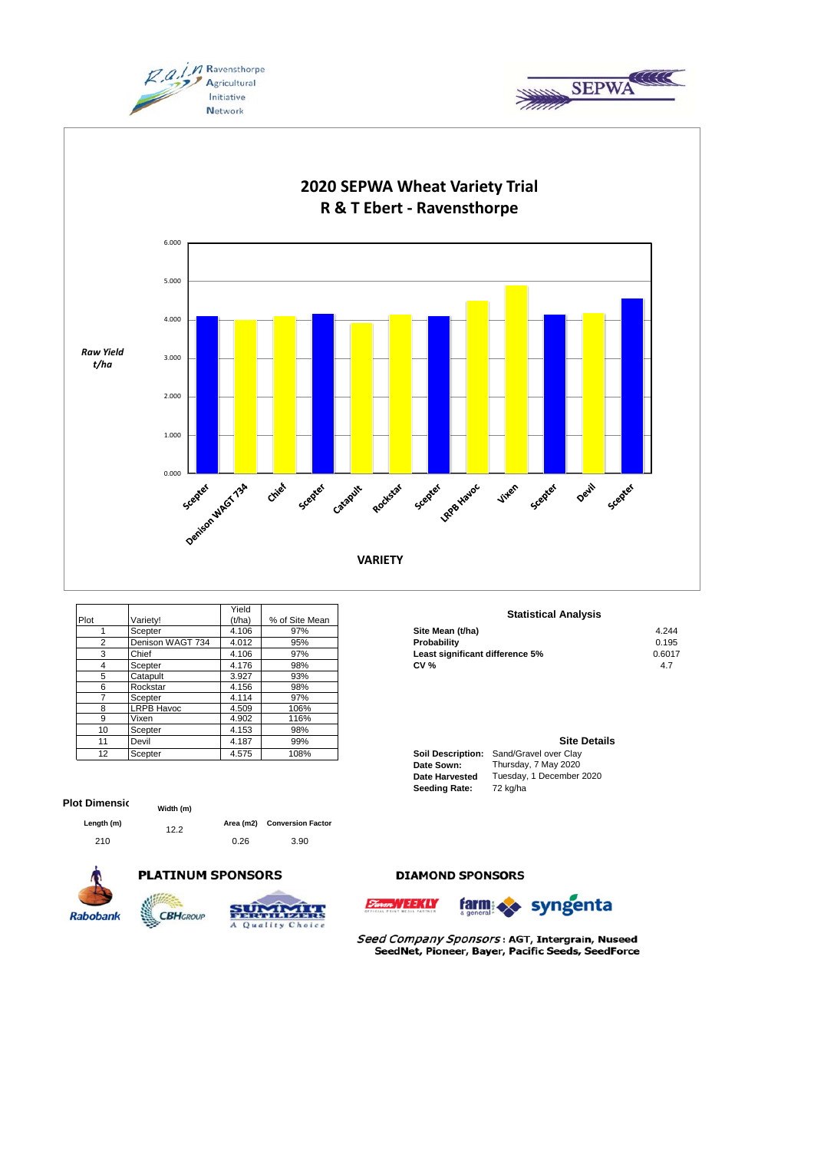





|               |                   | Yield  |                | <b>Statistical Anal</b>                 |
|---------------|-------------------|--------|----------------|-----------------------------------------|
| Plot          | Variety!          | (t/ha) | % of Site Mean |                                         |
|               | Scepter           | 4.106  | 97%            | Site Mean (t/ha)                        |
| $\mathcal{P}$ | Denison WAGT 734  | 4.012  | 95%            | Probability                             |
| 3             | Chief             | 4.106  | 97%            | Least significant difference 5%         |
| 4             | Scepter           | 4.176  | 98%            | <b>CV %</b>                             |
| 5             | Catapult          | 3.927  | 93%            |                                         |
| 6             | Rockstar          | 4.156  | 98%            |                                         |
|               | Scepter           | 4.114  | 97%            |                                         |
| 8             | <b>LRPB Havoc</b> | 4.509  | 106%           |                                         |
| 9             | Vixen             | 4.902  | 116%           |                                         |
| 10            | Scepter           | 4.153  | 98%            |                                         |
| 11            | Devil             | 4.187  | 99%            | <b>Site</b>                             |
| 12            | Scepter           | 4.575  | 108%           | Soil Description: Sand/Gravel over Clay |

## **Plot Dimensio**

| Length (m) |  |
|------------|--|
|            |  |

12.2 **Conversion Factor Area (m2) Width (m)**

**CBH**GROUP

210 0.26 3.90







# **DIAMOND SPONSORS**





Seed Company Sponsors: AGT, Intergrain, Nuseed SeedNet, Pioneer, Bayer, Pacific Seeds, SeedForce

# **Statistical Analysis**

| ----------       | .            | .   |                                 |        |
|------------------|--------------|-----|---------------------------------|--------|
| Scepter          | 106ء         | 97% | Site Mean (t/ha)                | 4.244  |
| Denison WAGT 734 | 4.012        | 95% | Probability                     | 0.195  |
| Chief            | <b>+.106</b> | 97% | Least significant difference 5% | 0.6017 |
| Scepter          | +.176        | 98% | CV %                            |        |
|                  |              |     |                                 |        |

### **Site Details**

| <b>Soil Description:</b> | Sand/Gravel over Clay    |
|--------------------------|--------------------------|
| Date Sown:               | Thursday, 7 May 2020     |
| <b>Date Harvested</b>    | Tuesday, 1 December 2020 |
| <b>Seeding Rate:</b>     | 72 kg/ha                 |